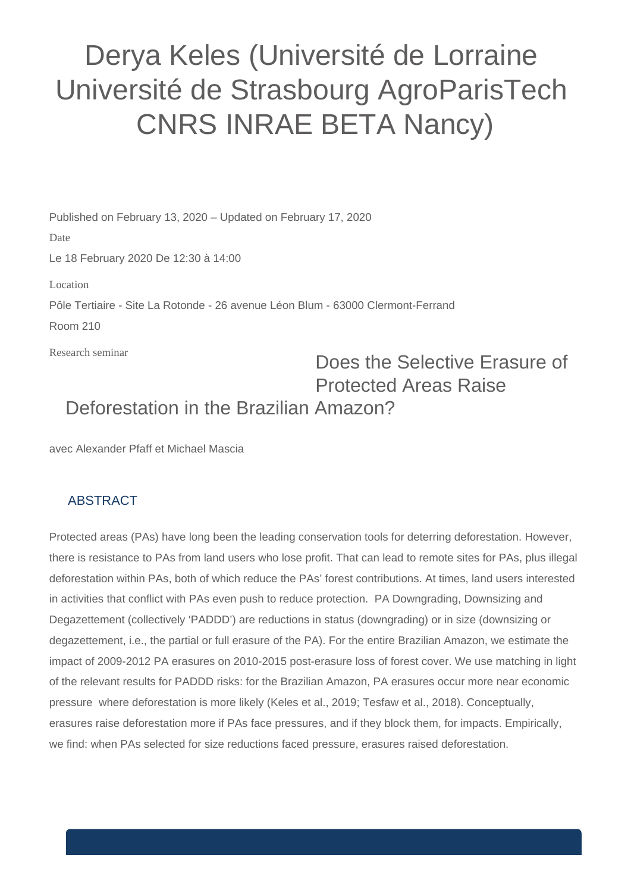## Derya Keles (Université de Lorraine Université de Strasbourg AgroParisTech CNRS INRAE BETA Nancy)

Published on February 13, 2020 – Updated on February 17, 2020

Research seminar Date Le 18 February 2020 De 12:30 à 14:00 Location Pôle Tertiaire - Site La Rotonde - 26 avenue Léon Blum - 63000 Clermont-Ferrand Room 210

## Does the Selective Erasure of Protected Areas Raise Deforestation in the Brazilian Amazon?

avec Alexander Pfaff et Michael Mascia

## **ABSTRACT**

Protected areas (PAs) have long been the leading conservation tools for deterring deforestation. However, there is resistance to PAs from land users who lose profit. That can lead to remote sites for PAs, plus illegal deforestation within PAs, both of which reduce the PAs' forest contributions. At times, land users interested in activities that conflict with PAs even push to reduce protection. PA Downgrading, Downsizing and Degazettement (collectively 'PADDD') are reductions in status (downgrading) or in size (downsizing or degazettement, i.e., the partial or full erasure of the PA). For the entire Brazilian Amazon, we estimate the impact of 2009-2012 PA erasures on 2010-2015 post-erasure loss of forest cover. We use matching in light of the relevant results for PADDD risks: for the Brazilian Amazon, PA erasures occur more near economic pressure where deforestation is more likely (Keles et al., 2019; Tesfaw et al., 2018). Conceptually, erasures raise deforestation more if PAs face pressures, and if they block them, for impacts. Empirically, we find: when PAs selected for size reductions faced pressure, erasures raised deforestation.